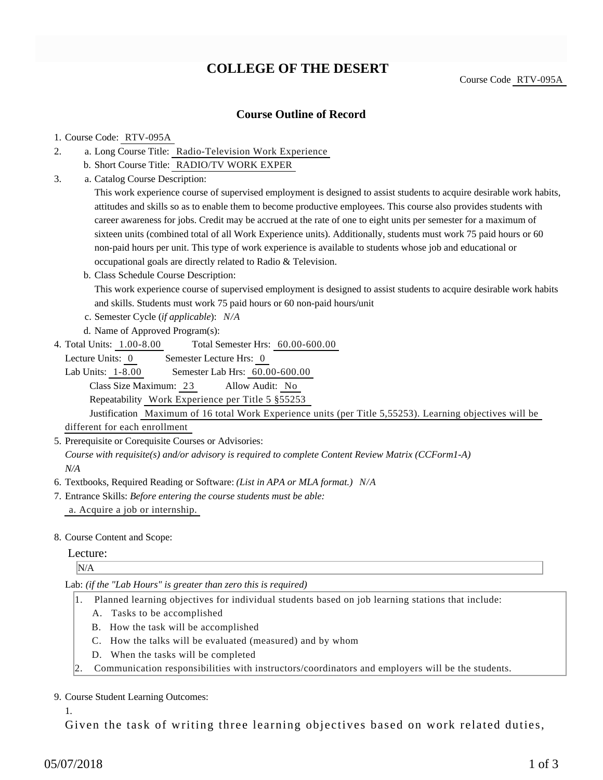# **COLLEGE OF THE DESERT**

Course Code RTV-095A

### **Course Outline of Record**

#### 1. Course Code: RTV-095A

- a. Long Course Title: Radio-Television Work Experience 2.
	- b. Short Course Title: RADIO/TV WORK EXPER
- Catalog Course Description: a. 3.

This work experience course of supervised employment is designed to assist students to acquire desirable work habits, attitudes and skills so as to enable them to become productive employees. This course also provides students with career awareness for jobs. Credit may be accrued at the rate of one to eight units per semester for a maximum of sixteen units (combined total of all Work Experience units). Additionally, students must work 75 paid hours or 60 non-paid hours per unit. This type of work experience is available to students whose job and educational or occupational goals are directly related to Radio & Television.

b. Class Schedule Course Description:

This work experience course of supervised employment is designed to assist students to acquire desirable work habits and skills. Students must work 75 paid hours or 60 non-paid hours/unit

- c. Semester Cycle (*if applicable*): *N/A*
- d. Name of Approved Program(s):
- Total Semester Hrs:  $60.00-600.00$ 4. Total Units: 1.00-8.00

Lecture Units: 0 Semester Lecture Hrs: 0

Lab Units: 1-8.00 Semester Lab Hrs: 60.00-600.00 Class Size Maximum: 23 Allow Audit: No Repeatability Work Experience per Title 5 §55253

Justification Maximum of 16 total Work Experience units (per Title 5,55253). Learning objectives will be different for each enrollment

5. Prerequisite or Corequisite Courses or Advisories:

*Course with requisite(s) and/or advisory is required to complete Content Review Matrix (CCForm1-A) N/A*

- 6. Textbooks, Required Reading or Software: *(List in APA or MLA format.) N/A*
- Entrance Skills: *Before entering the course students must be able:* 7. a. Acquire a job or internship.

#### 8. Course Content and Scope:

#### Lecture:

N/A

Lab: *(if the "Lab Hours" is greater than zero this is required)*

- 1. Planned learning objectives for individual students based on job learning stations that include:
	- A. Tasks to be accomplished
	- B. How the task will be accomplished
	- C. How the talks will be evaluated (measured) and by whom
	- D. When the tasks will be completed
- 2. Communication responsibilities with instructors/coordinators and employers will be the students.

#### 9. Course Student Learning Outcomes:

1.

Given the task of writing three learning objectives based on work related duties,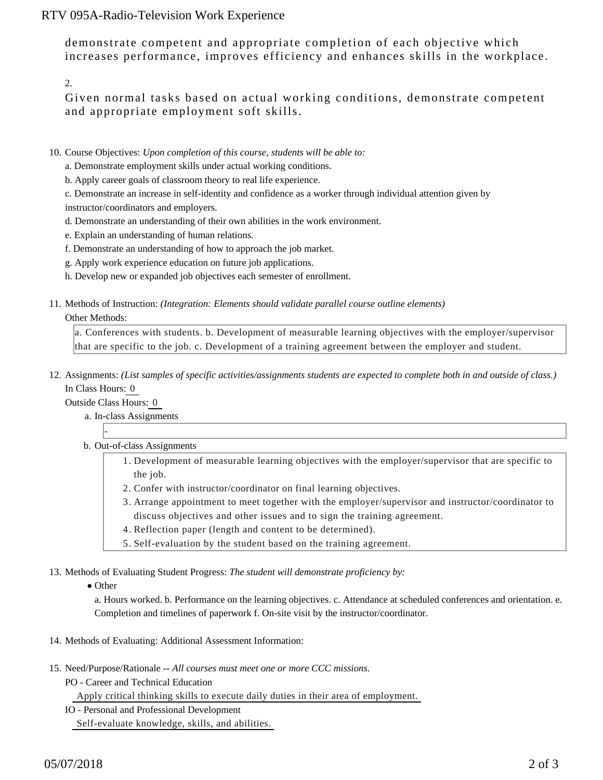## RTV 095A-Radio-Television Work Experience

demonstrate competent and appropriate completion of each objective which increases performance, improves efficiency and enhances skills in the workplace.

2.

Given normal tasks based on actual working conditions, demonstrate competent and appropriate employment soft skills.

- 10. Course Objectives: Upon completion of this course, students will be able to:
	- a. Demonstrate employment skills under actual working conditions.
	- b. Apply career goals of classroom theory to real life experience.

c. Demonstrate an increase in self-identity and confidence as a worker through individual attention given by instructor/coordinators and employers.

- d. Demonstrate an understanding of their own abilities in the work environment.
- e. Explain an understanding of human relations.
- f. Demonstrate an understanding of how to approach the job market.
- g. Apply work experience education on future job applications.
- h. Develop new or expanded job objectives each semester of enrollment.
- 11. Methods of Instruction: *(Integration: Elements should validate parallel course outline elements)*

#### Other Methods:

a. Conferences with students. b. Development of measurable learning objectives with the employer/supervisor that are specific to the job. c. Development of a training agreement between the employer and student.

12. Assignments: (List samples of specific activities/assignments students are expected to complete both in and outside of class.) In Class Hours: 0

Outside Class Hours: 0

-

- a. In-class Assignments
- b. Out-of-class Assignments
	- 1. Development of measurable learning objectives with the employer/supervisor that are specific to the job.
	- 2. Confer with instructor/coordinator on final learning objectives.
	- Arrange appointment to meet together with the employer/supervisor and instructor/coordinator to 3. discuss objectives and other issues and to sign the training agreement.
	- 4. Reflection paper (length and content to be determined).
	- 5. Self-evaluation by the student based on the training agreement.

13. Methods of Evaluating Student Progress: The student will demonstrate proficiency by:

• Other

a. Hours worked. b. Performance on the learning objectives. c. Attendance at scheduled conferences and orientation. e. Completion and timelines of paperwork f. On-site visit by the instructor/coordinator.

- 14. Methods of Evaluating: Additional Assessment Information:
- 15. Need/Purpose/Rationale -- All courses must meet one or more CCC missions.
	- PO Career and Technical Education

Apply critical thinking skills to execute daily duties in their area of employment.

IO - Personal and Professional Development

Self-evaluate knowledge, skills, and abilities.